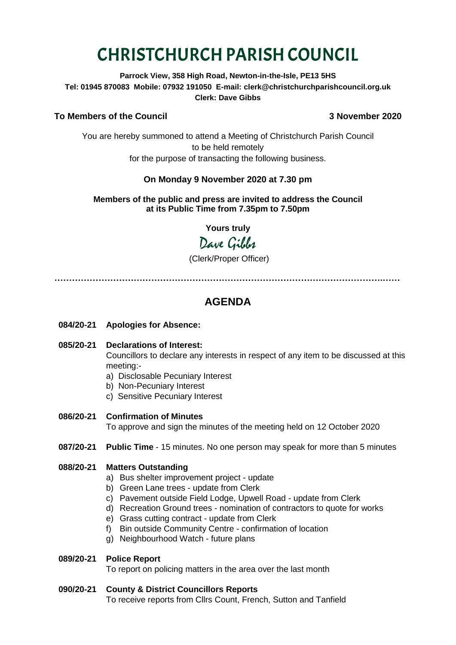# CHRISTCHURCH PARISH COUNCIL

**Parrock View, 358 High Road, Newton-in-the-Isle, PE13 5HS Tel: 01945 870083 Mobile: 07932 191050 E-mail: clerk@christchurchparishcouncil.org.uk Clerk: Dave Gibbs**

#### **To Members of the Council 3 November 2020**

You are hereby summoned to attend a Meeting of Christchurch Parish Council to be held remotely for the purpose of transacting the following business.

#### **On Monday 9 November 2020 at 7.30 pm**

**Members of the public and press are invited to address the Council at its Public Time from 7.35pm to 7.50pm**

**Yours truly**

## Dave Gibbes

(Clerk/Proper Officer)

**………………………………………………………………………………………………….……**

### **AGENDA**

**084/20-21 Apologies for Absence:** 

#### **085/20-21 Declarations of Interest:**

Councillors to declare any interests in respect of any item to be discussed at this meeting:-

- a) Disclosable Pecuniary Interest
- b) Non-Pecuniary Interest
- c) Sensitive Pecuniary Interest
- **086/20-21 Confirmation of Minutes**  To approve and sign the minutes of the meeting held on 12 October 2020
- **087/20-21 Public Time** 15 minutes. No one person may speak for more than 5 minutes

#### **088/20-21 Matters Outstanding**

- a) Bus shelter improvement project update
- b) Green Lane trees update from Clerk
- c) Pavement outside Field Lodge, Upwell Road update from Clerk
- d) Recreation Ground trees nomination of contractors to quote for works
- e) Grass cutting contract update from Clerk
- f) Bin outside Community Centre confirmation of location
- g) Neighbourhood Watch future plans

#### **089/20-21 Police Report**

To report on policing matters in the area over the last month

#### **090/20-21 County & District Councillors Reports**

To receive reports from Cllrs Count, French, Sutton and Tanfield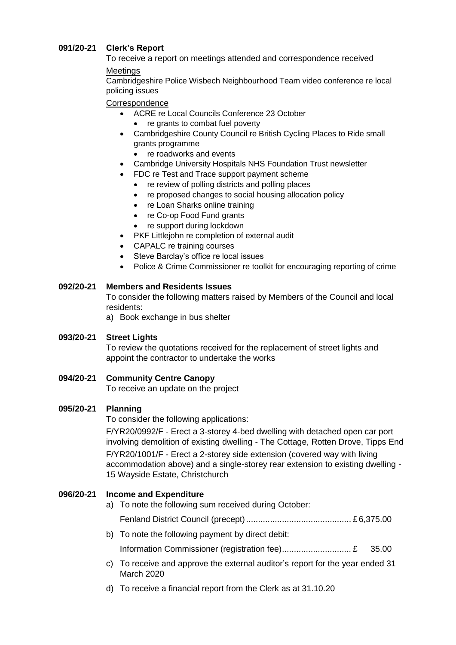#### **091/20-21 Clerk's Report**

To receive a report on meetings attended and correspondence received

#### **Meetings**

Cambridgeshire Police Wisbech Neighbourhood Team video conference re local policing issues

#### **Correspondence**

- ACRE re Local Councils Conference 23 October
	- re grants to combat fuel poverty
- Cambridgeshire County Council re British Cycling Places to Ride small grants programme
	- re roadworks and events
- Cambridge University Hospitals NHS Foundation Trust newsletter
- FDC re Test and Trace support payment scheme
	- re review of polling districts and polling places
	- re proposed changes to social housing allocation policy
	- re Loan Sharks online training
	- re Co-op Food Fund grants
	- re support during lockdown
- PKF Littlejohn re completion of external audit
- CAPALC re training courses
- Steve Barclay's office re local issues
- Police & Crime Commissioner re toolkit for encouraging reporting of crime

#### **092/20-21 Members and Residents Issues**

To consider the following matters raised by Members of the Council and local residents:

a) Book exchange in bus shelter

#### **093/20-21 Street Lights**

To review the quotations received for the replacement of street lights and appoint the contractor to undertake the works

**094/20-21 Community Centre Canopy**

To receive an update on the project

#### **095/20-21 Planning**

To consider the following applications:

F/YR20/0992/F - Erect a 3-storey 4-bed dwelling with detached open car port involving demolition of existing dwelling - The Cottage, Rotten Drove, Tipps End F/YR20/1001/F - Erect a 2-storey side extension (covered way with living accommodation above) and a single-storey rear extension to existing dwelling - 15 Wayside Estate, Christchurch

#### **096/20-21 Income and Expenditure**

a) To note the following sum received during October:

Fenland District Council (precept)............................................ £ 6,375.00

b) To note the following payment by direct debit:

Information Commissioner (registration fee)................................. £ 35.00

- c) To receive and approve the external auditor's report for the year ended 31 March 2020
- d) To receive a financial report from the Clerk as at 31.10.20